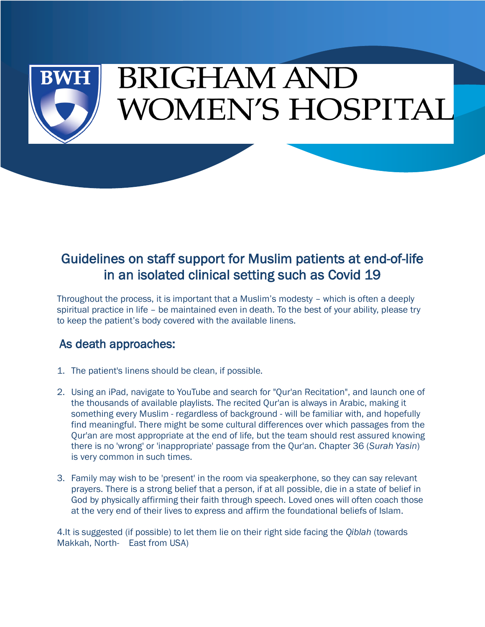

## **BRIGHAM AND** WOMEN'S HOSPITAL

## Guidelines on staff support for Muslim patients at end-of-life in an isolated clinical setting such as Covid 19

Throughout the process, it is important that a Muslim's modesty – which is often a deeply spiritual practice in life – be maintained even in death. To the best of your ability, please try to keep the patient's body covered with the available linens.

## As death approaches:

- 1. The patient's linens should be clean, if possible.
- 2. Using an iPad, navigate to YouTube and search for "Qur'an Recitation", and launch one of the thousands of available playlists. The recited Qur'an is always in Arabic, making it something every Muslim - regardless of background - will be familiar with, and hopefully find meaningful. There might be some cultural differences over which passages from the Qur'an are most appropriate at the end of life, but the team should rest assured knowing there is no 'wrong' or 'inappropriate' passage from the Qur'an. Chapter 36 (*Surah Yasin*) is very common in such times.
- 3. Family may wish to be 'present' in the room via speakerphone, so they can say relevant prayers. There is a strong belief that a person, if at all possible, die in a state of belief in God by physically affirming their faith through speech. Loved ones will often coach those at the very end of their lives to express and affirm the foundational beliefs of Islam.

4.It is suggested (if possible) to let them lie on their right side facing the *Qiblah* (towards Makkah, North- East from USA)